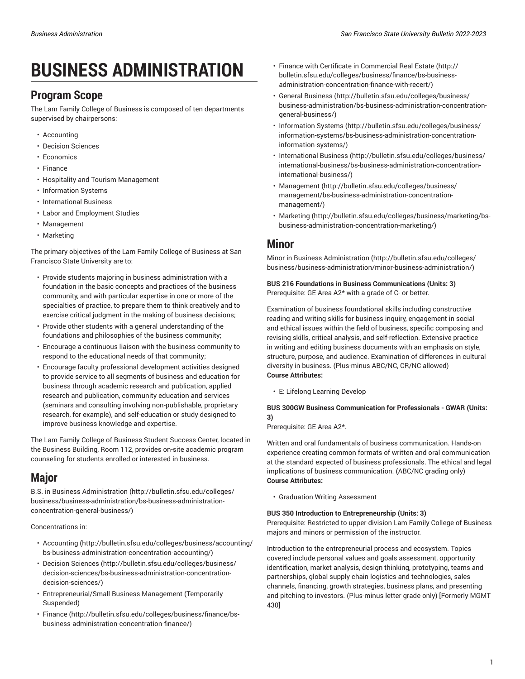# **BUSINESS ADMINISTRATION**

# **Program Scope**

The Lam Family College of Business is composed of ten departments supervised by chairpersons:

- Accounting
- Decision Sciences
- Economics
- Finance
- Hospitality and Tourism Management
- Information Systems
- International Business
- Labor and Employment Studies
- Management
- Marketing

The primary objectives of the Lam Family College of Business at San Francisco State University are to:

- Provide students majoring in business administration with a foundation in the basic concepts and practices of the business community, and with particular expertise in one or more of the specialties of practice, to prepare them to think creatively and to exercise critical judgment in the making of business decisions;
- Provide other students with a general understanding of the foundations and philosophies of the business community;
- Encourage a continuous liaison with the business community to respond to the educational needs of that community;
- Encourage faculty professional development activities designed to provide service to all segments of business and education for business through academic research and publication, applied research and publication, community education and services (seminars and consulting involving non-publishable, proprietary research, for example), and self-education or study designed to improve business knowledge and expertise.

The Lam Family College of Business Student Success Center, located in the Business Building, Room 112, provides on-site academic program counseling for students enrolled or interested in business.

# **Major**

[B.S. in Business Administration](http://bulletin.sfsu.edu/colleges/business/business-administration/bs-business-administration-concentration-general-business/) ([http://bulletin.sfsu.edu/colleges/](http://bulletin.sfsu.edu/colleges/business/business-administration/bs-business-administration-concentration-general-business/) [business/business-administration/bs-business-administration](http://bulletin.sfsu.edu/colleges/business/business-administration/bs-business-administration-concentration-general-business/)[concentration-general-business/\)](http://bulletin.sfsu.edu/colleges/business/business-administration/bs-business-administration-concentration-general-business/)

Concentrations in:

- [Accounting](http://bulletin.sfsu.edu/colleges/business/accounting/bs-business-administration-concentration-accounting/) ([http://bulletin.sfsu.edu/colleges/business/accounting/](http://bulletin.sfsu.edu/colleges/business/accounting/bs-business-administration-concentration-accounting/) [bs-business-administration-concentration-accounting/](http://bulletin.sfsu.edu/colleges/business/accounting/bs-business-administration-concentration-accounting/))
- [Decision Sciences \(http://bulletin.sfsu.edu/colleges/business/](http://bulletin.sfsu.edu/colleges/business/decision-sciences/bs-business-administration-concentration-decision-sciences/) [decision-sciences/bs-business-administration-concentration](http://bulletin.sfsu.edu/colleges/business/decision-sciences/bs-business-administration-concentration-decision-sciences/)[decision-sciences/\)](http://bulletin.sfsu.edu/colleges/business/decision-sciences/bs-business-administration-concentration-decision-sciences/)
- Entrepreneurial/Small Business Management (Temporarily Suspended)
- [Finance \(http://bulletin.sfsu.edu/colleges/business/finance/bs](http://bulletin.sfsu.edu/colleges/business/finance/bs-business-administration-concentration-finance/)[business-administration-concentration-finance/](http://bulletin.sfsu.edu/colleges/business/finance/bs-business-administration-concentration-finance/))
- Finance with Certificate in [Commercial](http://bulletin.sfsu.edu/colleges/business/finance/bs-business-administration-concentration-finance-with-recert/) Real Estate [\(http://](http://bulletin.sfsu.edu/colleges/business/finance/bs-business-administration-concentration-finance-with-recert/) [bulletin.sfsu.edu/colleges/business/finance/bs-business](http://bulletin.sfsu.edu/colleges/business/finance/bs-business-administration-concentration-finance-with-recert/)[administration-concentration-finance-with-recert/\)](http://bulletin.sfsu.edu/colleges/business/finance/bs-business-administration-concentration-finance-with-recert/)
- [General Business](http://bulletin.sfsu.edu/colleges/business/business-administration/bs-business-administration-concentration-general-business/) ([http://bulletin.sfsu.edu/colleges/business/](http://bulletin.sfsu.edu/colleges/business/business-administration/bs-business-administration-concentration-general-business/) [business-administration/bs-business-administration-concentration](http://bulletin.sfsu.edu/colleges/business/business-administration/bs-business-administration-concentration-general-business/)[general-business/\)](http://bulletin.sfsu.edu/colleges/business/business-administration/bs-business-administration-concentration-general-business/)
- [Information Systems \(http://bulletin.sfsu.edu/colleges/business/](http://bulletin.sfsu.edu/colleges/business/information-systems/bs-business-administration-concentration-information-systems/) [information-systems/bs-business-administration-concentration](http://bulletin.sfsu.edu/colleges/business/information-systems/bs-business-administration-concentration-information-systems/)[information-systems/](http://bulletin.sfsu.edu/colleges/business/information-systems/bs-business-administration-concentration-information-systems/))
- [International Business](http://bulletin.sfsu.edu/colleges/business/international-business/bs-business-administration-concentration-international-business/) ([http://bulletin.sfsu.edu/colleges/business/](http://bulletin.sfsu.edu/colleges/business/international-business/bs-business-administration-concentration-international-business/) [international-business/bs-business-administration-concentration](http://bulletin.sfsu.edu/colleges/business/international-business/bs-business-administration-concentration-international-business/)[international-business/\)](http://bulletin.sfsu.edu/colleges/business/international-business/bs-business-administration-concentration-international-business/)
- [Management](http://bulletin.sfsu.edu/colleges/business/management/bs-business-administration-concentration-management/) ([http://bulletin.sfsu.edu/colleges/business/](http://bulletin.sfsu.edu/colleges/business/management/bs-business-administration-concentration-management/) [management/bs-business-administration-concentration](http://bulletin.sfsu.edu/colleges/business/management/bs-business-administration-concentration-management/)[management/](http://bulletin.sfsu.edu/colleges/business/management/bs-business-administration-concentration-management/))
- [Marketing \(http://bulletin.sfsu.edu/colleges/business/marketing/bs](http://bulletin.sfsu.edu/colleges/business/marketing/bs-business-administration-concentration-marketing/)[business-administration-concentration-marketing/](http://bulletin.sfsu.edu/colleges/business/marketing/bs-business-administration-concentration-marketing/))

# **Minor**

[Minor in Business Administration](http://bulletin.sfsu.edu/colleges/business/business-administration/minor-business-administration/) ([http://bulletin.sfsu.edu/colleges/](http://bulletin.sfsu.edu/colleges/business/business-administration/minor-business-administration/) [business/business-administration/minor-business-administration/\)](http://bulletin.sfsu.edu/colleges/business/business-administration/minor-business-administration/)

**BUS 216 Foundations in Business Communications (Units: 3)** Prerequisite: GE Area A2\* with a grade of C- or better.

Examination of business foundational skills including constructive reading and writing skills for business inquiry, engagement in social and ethical issues within the field of business, specific composing and revising skills, critical analysis, and self-reflection. Extensive practice in writing and editing business documents with an emphasis on style, structure, purpose, and audience. Examination of differences in cultural diversity in business. (Plus-minus ABC/NC, CR/NC allowed) **Course Attributes:**

• E: Lifelong Learning Develop

# **BUS 300GW Business Communication for Professionals - GWAR (Units: 3)**

Prerequisite: GE Area A2\*.

Written and oral fundamentals of business communication. Hands-on experience creating common formats of written and oral communication at the standard expected of business professionals. The ethical and legal implications of business communication. (ABC/NC grading only) **Course Attributes:**

• Graduation Writing Assessment

# **BUS 350 Introduction to Entrepreneurship (Units: 3)**

Prerequisite: Restricted to upper-division Lam Family College of Business majors and minors or permission of the instructor.

Introduction to the entrepreneurial process and ecosystem. Topics covered include personal values and goals assessment, opportunity identification, market analysis, design thinking, prototyping, teams and partnerships, global supply chain logistics and technologies, sales channels, financing, growth strategies, business plans, and presenting and pitching to investors. (Plus-minus letter grade only) [Formerly MGMT 430]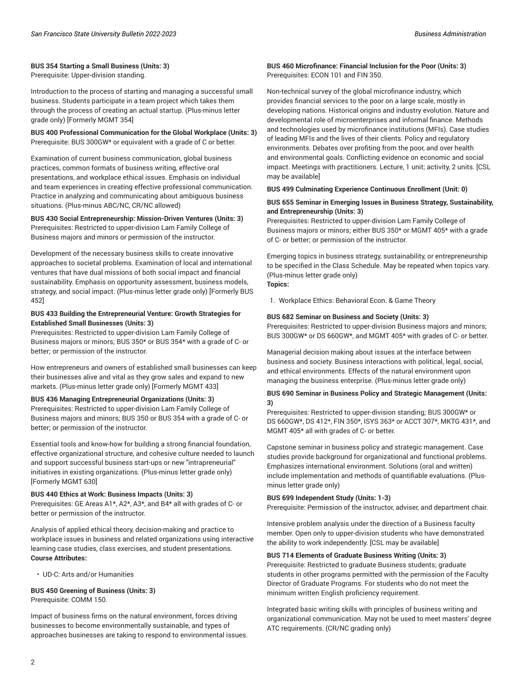#### **BUS 354 Starting a Small Business (Units: 3)**

Prerequisite: Upper-division standing.

Introduction to the process of starting and managing a successful small business. Students participate in a team project which takes them through the process of creating an actual startup. (Plus-minus letter grade only) [Formerly MGMT 354]

**BUS 400 Professional Communication for the Global Workplace (Units: 3)** Prerequisite: BUS 300GW\* or equivalent with a grade of C or better.

Examination of current business communication, global business practices, common formats of business writing, effective oral presentations, and workplace ethical issues. Emphasis on individual and team experiences in creating effective professional communication. Practice in analyzing and communicating about ambiguous business situations. (Plus-minus ABC/NC, CR/NC allowed)

**BUS 430 Social Entrepreneurship: Mission-Driven Ventures (Units: 3)** Prerequisites: Restricted to upper-division Lam Family College of Business majors and minors or permission of the instructor.

Development of the necessary business skills to create innovative approaches to societal problems. Examination of local and international ventures that have dual missions of both social impact and financial sustainability. Emphasis on opportunity assessment, business models, strategy, and social impact. (Plus-minus letter grade only) [Formerly BUS 452]

#### **BUS 433 Building the Entrepreneurial Venture: Growth Strategies for Established Small Businesses (Units: 3)**

Prerequisites: Restricted to upper-division Lam Family College of Business majors or minors; BUS 350\* or BUS 354\* with a grade of C- or better; or permission of the instructor.

How entrepreneurs and owners of established small businesses can keep their businesses alive and vital as they grow sales and expand to new markets. (Plus-minus letter grade only) [Formerly MGMT 433]

#### **BUS 436 Managing Entrepreneurial Organizations (Units: 3)**

Prerequisites: Restricted to upper-division Lam Family College of Business majors and minors; BUS 350 or BUS 354 with a grade of C- or better; or permission of the instructor.

Essential tools and know-how for building a strong financial foundation, effective organizational structure, and cohesive culture needed to launch and support successful business start-ups or new "intrapreneurial" initiatives in existing organizations. (Plus-minus letter grade only) [Formerly MGMT 630]

#### **BUS 440 Ethics at Work: Business Impacts (Units: 3)**

Prerequisites: GE Areas A1\*, A2\*, A3\*, and B4\* all with grades of C- or better or permission of the instructor.

Analysis of applied ethical theory, decision-making and practice to workplace issues in business and related organizations using interactive learning case studies, class exercises, and student presentations. **Course Attributes:**

• UD-C: Arts and/or Humanities

**BUS 450 Greening of Business (Units: 3)** Prerequisite: COMM 150.

Impact of business firms on the natural environment, forces driving businesses to become environmentally sustainable, and types of approaches businesses are taking to respond to environmental issues.

### **BUS 460 Microfinance: Financial Inclusion for the Poor (Units: 3)** Prerequisites: ECON 101 and FIN 350.

Non-technical survey of the global microfinance industry, which provides financial services to the poor on a large scale, mostly in developing nations. Historical origins and industry evolution. Nature and developmental role of microenterprises and informal finance. Methods and technologies used by microfinance institutions (MFIs). Case studies of leading MFIs and the lives of their clients. Policy and regulatory environments. Debates over profiting from the poor, and over health and environmental goals. Conflicting evidence on economic and social impact. Meetings with practitioners. Lecture, 1 unit; activity, 2 units. [CSL may be available]

#### **BUS 499 Culminating Experience Continuous Enrollment (Unit: 0)**

### **BUS 655 Seminar in Emerging Issues in Business Strategy, Sustainability, and Entrepreneurship (Units: 3)**

Prerequisites: Restricted to upper-division Lam Family College of Business majors or minors; either BUS 350\* or MGMT 405\* with a grade of C- or better; or permission of the instructor.

Emerging topics in business strategy, sustainability, or entrepreneurship to be specified in the Class Schedule. May be repeated when topics vary. (Plus-minus letter grade only)

**Topics:**

1. Workplace Ethics: Behavioral Econ. & Game Theory

#### **BUS 682 Seminar on Business and Society (Units: 3)**

Prerequisites: Restricted to upper-division Business majors and minors; BUS 300GW\* or DS 660GW\*, and MGMT 405\* with grades of C- or better.

Managerial decision making about issues at the interface between business and society. Business interactions with political, legal, social, and ethical environments. Effects of the natural environment upon managing the business enterprise. (Plus-minus letter grade only)

#### **BUS 690 Seminar in Business Policy and Strategic Management (Units: 3)**

Prerequisites: Restricted to upper-division standing; BUS 300GW\* or DS 660GW\*, DS 412\*, FIN 350\*, ISYS 363\* or ACCT 307\*, MKTG 431\*, and MGMT 405\* all with grades of C- or better.

Capstone seminar in business policy and strategic management. Case studies provide background for organizational and functional problems. Emphasizes international environment. Solutions (oral and written) include implementation and methods of quantifiable evaluations. (Plusminus letter grade only)

#### **BUS 699 Independent Study (Units: 1-3)**

Prerequisite: Permission of the instructor, adviser, and department chair.

Intensive problem analysis under the direction of a Business faculty member. Open only to upper-division students who have demonstrated the ability to work independently. [CSL may be available]

#### **BUS 714 Elements of Graduate Business Writing (Units: 3)**

Prerequisite: Restricted to graduate Business students; graduate students in other programs permitted with the permission of the Faculty Director of Graduate Programs. For students who do not meet the minimum written English proficiency requirement.

Integrated basic writing skills with principles of business writing and organizational communication. May not be used to meet masters' degree ATC requirements. (CR/NC grading only)